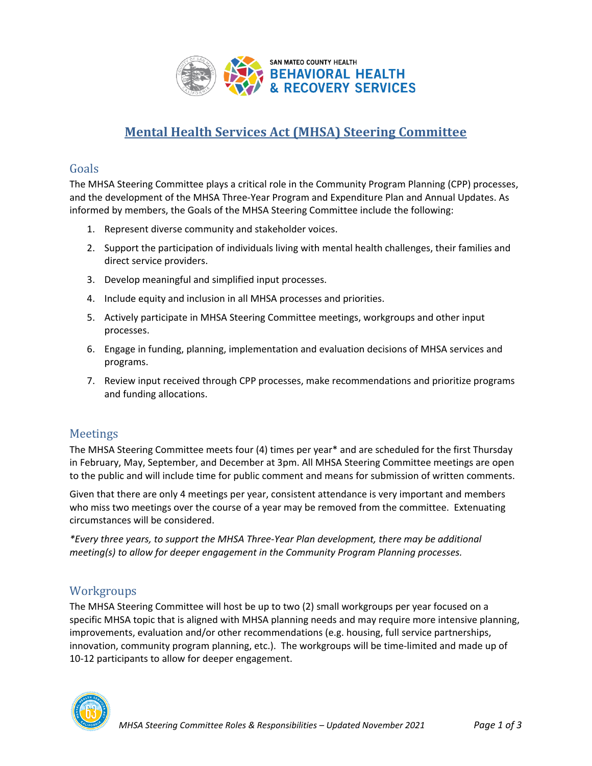

# **Mental Health Services Act (MHSA) Steering Committee**

#### Goals

The MHSA Steering Committee plays a critical role in the Community Program Planning (CPP) processes, and the development of the MHSA Three-Year Program and Expenditure Plan and Annual Updates. As informed by members, the Goals of the MHSA Steering Committee include the following:

- 1. Represent diverse community and stakeholder voices.
- 2. Support the participation of individuals living with mental health challenges, their families and direct service providers.
- 3. Develop meaningful and simplified input processes.
- 4. Include equity and inclusion in all MHSA processes and priorities.
- 5. Actively participate in MHSA Steering Committee meetings, workgroups and other input processes.
- 6. Engage in funding, planning, implementation and evaluation decisions of MHSA services and programs.
- 7. Review input received through CPP processes, make recommendations and prioritize programs and funding allocations.

### Meetings

The MHSA Steering Committee meets four (4) times per year\* and are scheduled for the first Thursday in February, May, September, and December at 3pm. All MHSA Steering Committee meetings are open to the public and will include time for public comment and means for submission of written comments.

Given that there are only 4 meetings per year, consistent attendance is very important and members who miss two meetings over the course of a year may be removed from the committee. Extenuating circumstances will be considered.

*\*Every three years, to support the MHSA Three-Year Plan development, there may be additional meeting(s) to allow for deeper engagement in the Community Program Planning processes.* 

## **Workgroups**

The MHSA Steering Committee will host be up to two (2) small workgroups per year focused on a specific MHSA topic that is aligned with MHSA planning needs and may require more intensive planning, improvements, evaluation and/or other recommendations (e.g. housing, full service partnerships, innovation, community program planning, etc.). The workgroups will be time-limited and made up of 10-12 participants to allow for deeper engagement.

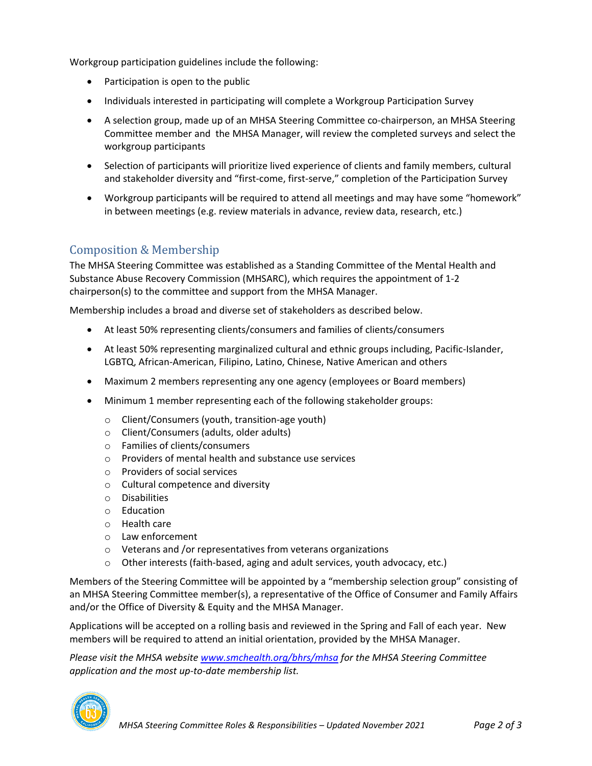Workgroup participation guidelines include the following:

- Participation is open to the public
- Individuals interested in participating will complete a Workgroup Participation Survey
- A selection group, made up of an MHSA Steering Committee co-chairperson, an MHSA Steering Committee member and the MHSA Manager, will review the completed surveys and select the workgroup participants
- Selection of participants will prioritize lived experience of clients and family members, cultural and stakeholder diversity and "first-come, first-serve," completion of the Participation Survey
- Workgroup participants will be required to attend all meetings and may have some "homework" in between meetings (e.g. review materials in advance, review data, research, etc.)

## Composition & Membership

The MHSA Steering Committee was established as a Standing Committee of the Mental Health and Substance Abuse Recovery Commission (MHSARC), which requires the appointment of 1-2 chairperson(s) to the committee and support from the MHSA Manager.

Membership includes a broad and diverse set of stakeholders as described below.

- At least 50% representing clients/consumers and families of clients/consumers
- At least 50% representing marginalized cultural and ethnic groups including, Pacific-Islander, LGBTQ, African-American, Filipino, Latino, Chinese, Native American and others
- Maximum 2 members representing any one agency (employees or Board members)
- Minimum 1 member representing each of the following stakeholder groups:
	- o Client/Consumers (youth, transition-age youth)
	- o Client/Consumers (adults, older adults)
	- o Families of clients/consumers
	- o Providers of mental health and substance use services
	- o Providers of social services
	- o Cultural competence and diversity
	- o Disabilities
	- o Education
	- o Health care
	- o Law enforcement
	- o Veterans and /or representatives from veterans organizations
	- o Other interests (faith-based, aging and adult services, youth advocacy, etc.)

Members of the Steering Committee will be appointed by a "membership selection group" consisting of an MHSA Steering Committee member(s), a representative of the Office of Consumer and Family Affairs and/or the Office of Diversity & Equity and the MHSA Manager.

Applications will be accepted on a rolling basis and reviewed in the Spring and Fall of each year. New members will be required to attend an initial orientation, provided by the MHSA Manager.

*Please visit the MHSA websit[e www.smchealth.org/bhrs/mhsa](http://www.smchealth.org/bhrs/mhsa) for the MHSA Steering Committee application and the most up-to-date membership list.*